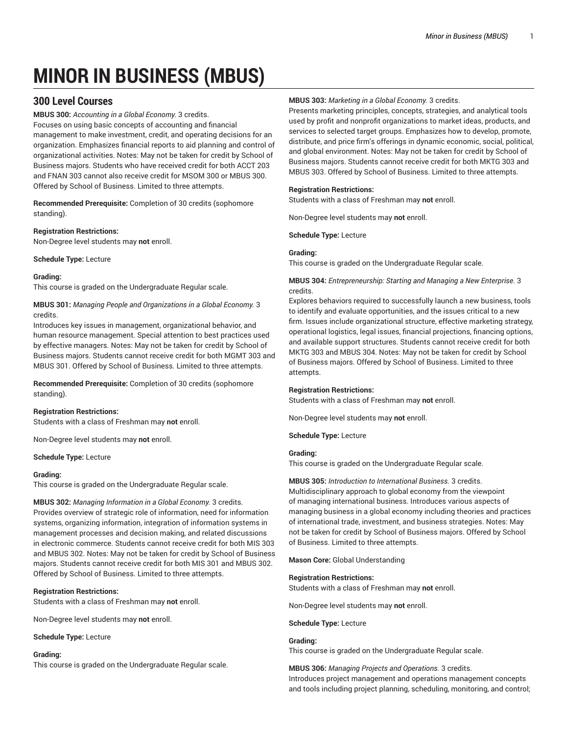# **MINOR IN BUSINESS (MBUS)**

## **300 Level Courses**

**MBUS 300:** *Accounting in a Global Economy.* 3 credits.

Focuses on using basic concepts of accounting and financial management to make investment, credit, and operating decisions for an organization. Emphasizes financial reports to aid planning and control of organizational activities. Notes: May not be taken for credit by School of Business majors. Students who have received credit for both ACCT 203 and FNAN 303 cannot also receive credit for MSOM 300 or MBUS 300. Offered by School of Business. Limited to three attempts.

**Recommended Prerequisite:** Completion of 30 credits (sophomore standing).

#### **Registration Restrictions:**

Non-Degree level students may **not** enroll.

**Schedule Type:** Lecture

#### **Grading:**

This course is graded on the Undergraduate Regular scale.

**MBUS 301:** *Managing People and Organizations in a Global Economy.* 3 credits.

Introduces key issues in management, organizational behavior, and human resource management. Special attention to best practices used by effective managers. Notes: May not be taken for credit by School of Business majors. Students cannot receive credit for both MGMT 303 and MBUS 301. Offered by School of Business. Limited to three attempts.

**Recommended Prerequisite:** Completion of 30 credits (sophomore standing).

#### **Registration Restrictions:**

Students with a class of Freshman may **not** enroll.

Non-Degree level students may **not** enroll.

#### **Schedule Type:** Lecture

#### **Grading:**

This course is graded on the Undergraduate Regular scale.

**MBUS 302:** *Managing Information in a Global Economy.* 3 credits. Provides overview of strategic role of information, need for information systems, organizing information, integration of information systems in management processes and decision making, and related discussions in electronic commerce. Students cannot receive credit for both MIS 303 and MBUS 302. Notes: May not be taken for credit by School of Business majors. Students cannot receive credit for both MIS 301 and MBUS 302. Offered by School of Business. Limited to three attempts.

**Registration Restrictions:**

Students with a class of Freshman may **not** enroll.

Non-Degree level students may **not** enroll.

**Schedule Type:** Lecture

#### **Grading:**

This course is graded on the Undergraduate Regular scale.

#### **MBUS 303:** *Marketing in a Global Economy.* 3 credits.

Presents marketing principles, concepts, strategies, and analytical tools used by profit and nonprofit organizations to market ideas, products, and services to selected target groups. Emphasizes how to develop, promote, distribute, and price firm's offerings in dynamic economic, social, political, and global environment. Notes: May not be taken for credit by School of Business majors. Students cannot receive credit for both MKTG 303 and MBUS 303. Offered by School of Business. Limited to three attempts.

#### **Registration Restrictions:**

Students with a class of Freshman may **not** enroll.

Non-Degree level students may **not** enroll.

**Schedule Type:** Lecture

#### **Grading:**

This course is graded on the Undergraduate Regular scale.

#### **MBUS 304:** *Entrepreneurship: Starting and Managing a New Enterprise.* 3 credits.

Explores behaviors required to successfully launch a new business, tools to identify and evaluate opportunities, and the issues critical to a new firm. Issues include organizational structure, effective marketing strategy, operational logistics, legal issues, financial projections, financing options, and available support structures. Students cannot receive credit for both MKTG 303 and MBUS 304. Notes: May not be taken for credit by School of Business majors. Offered by School of Business. Limited to three attempts.

#### **Registration Restrictions:**

Students with a class of Freshman may **not** enroll.

Non-Degree level students may **not** enroll.

**Schedule Type:** Lecture

#### **Grading:**

This course is graded on the Undergraduate Regular scale.

## **MBUS 305:** *Introduction to International Business.* 3 credits.

Multidisciplinary approach to global economy from the viewpoint of managing international business. Introduces various aspects of managing business in a global economy including theories and practices of international trade, investment, and business strategies. Notes: May not be taken for credit by School of Business majors. Offered by School of Business. Limited to three attempts.

**Mason Core:** Global Understanding

#### **Registration Restrictions:**

Students with a class of Freshman may **not** enroll.

Non-Degree level students may **not** enroll.

#### **Schedule Type:** Lecture

#### **Grading:**

This course is graded on the Undergraduate Regular scale.

**MBUS 306:** *Managing Projects and Operations.* 3 credits. Introduces project management and operations management concepts and tools including project planning, scheduling, monitoring, and control;